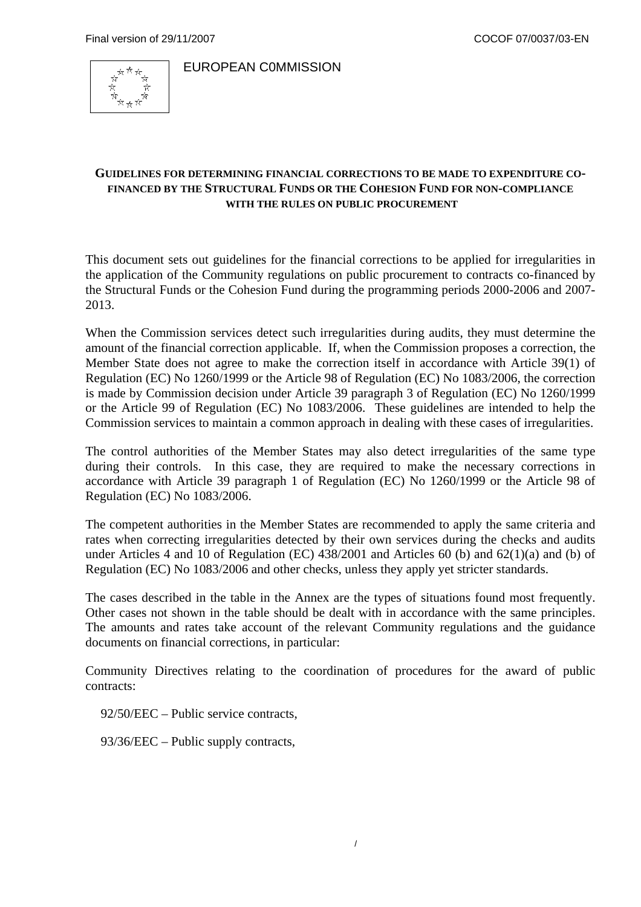

EUROPEAN C0MMISSION

## **GUIDELINES FOR DETERMINING FINANCIAL CORRECTIONS TO BE MADE TO EXPENDITURE CO-FINANCED BY THE STRUCTURAL FUNDS OR THE COHESION FUND FOR NON-COMPLIANCE WITH THE RULES ON PUBLIC PROCUREMENT**

This document sets out guidelines for the financial corrections to be applied for irregularities in the application of the Community regulations on public procurement to contracts co-financed by the Structural Funds or the Cohesion Fund during the programming periods 2000-2006 and 2007- 2013.

When the Commission services detect such irregularities during audits, they must determine the amount of the financial correction applicable. If, when the Commission proposes a correction, the Member State does not agree to make the correction itself in accordance with Article 39(1) of Regulation (EC) No 1260/1999 or the Article 98 of Regulation (EC) No 1083/2006, the correction is made by Commission decision under Article 39 paragraph 3 of Regulation (EC) No 1260/1999 or the Article 99 of Regulation (EC) No 1083/2006. These guidelines are intended to help the Commission services to maintain a common approach in dealing with these cases of irregularities.

The control authorities of the Member States may also detect irregularities of the same type during their controls. In this case, they are required to make the necessary corrections in accordance with Article 39 paragraph 1 of Regulation (EC) No 1260/1999 or the Article 98 of Regulation (EC) No 1083/2006.

The competent authorities in the Member States are recommended to apply the same criteria and rates when correcting irregularities detected by their own services during the checks and audits under Articles 4 and 10 of Regulation (EC) 438/2001 and Articles 60 (b) and 62(1)(a) and (b) of Regulation (EC) No 1083/2006 and other checks, unless they apply yet stricter standards.

The cases described in the table in the Annex are the types of situations found most frequently. Other cases not shown in the table should be dealt with in accordance with the same principles. The amounts and rates take account of the relevant Community regulations and the guidance documents on financial corrections, in particular:

Community Directives relating to the coordination of procedures for the award of public contracts:

92/50/EEC – Public service contracts,

93/36/EEC – Public supply contracts,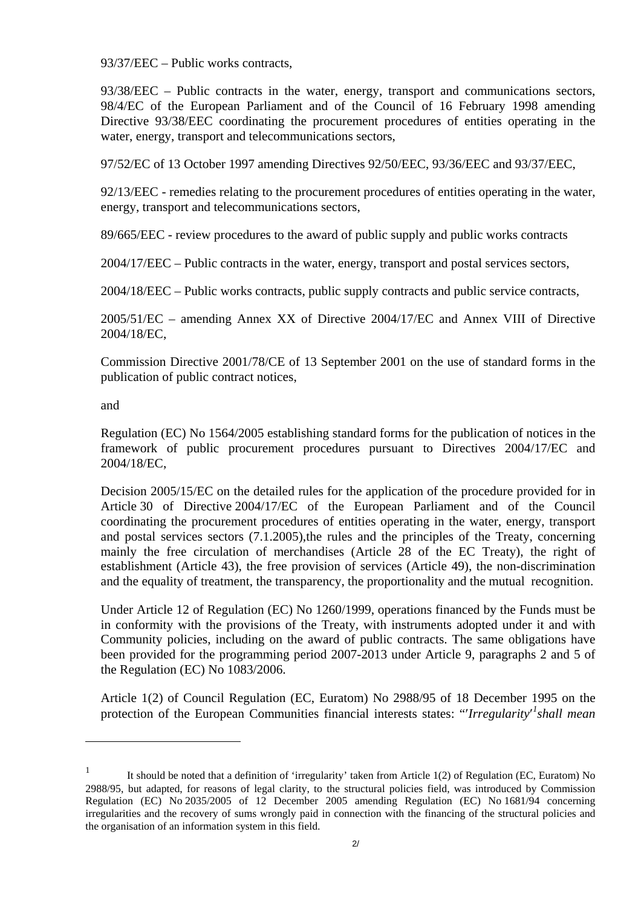93/37/EEC – Public works contracts,

93/38/EEC – Public contracts in the water, energy, transport and communications sectors, [98/4/EC](http://eur-lex.europa.eu/LexUriServ/LexUriServ.do?uri=CELEX:31998L0004:FR:NOT) of the European Parliament and of the Council of 16 February 1998 amending Directive 93/38/EEC coordinating the procurement procedures of entities operating in the water, energy, transport and telecommunications sectors,

[97/52/EC](http://eur-lex.europa.eu/LexUriServ/LexUriServ.do?uri=CELEX:31997L0052:FR:NOT) of 13 October 1997 amending Directives 92/50/EEC, 93/36/EEC and 93/37/EEC,

92/13/EEC - remedies relating to the procurement procedures of entities operating in the water, energy, transport and telecommunications sectors,

89/665/EEC - review procedures to the award of public supply and public works contracts

2004/17/EEC – Public contracts in the water, energy, transport and postal services sectors,

2004/18/EEC – Public works contracts, public supply contracts and public service contracts,

2005/51/EC – amending Annex XX of Directive 2004/17/EC and Annex VIII of Directive 2004/18/EC,

Commission Directive 2001/78/CE of 13 September 2001 on the use of standard forms in the publication of public contract notices,

and

 $\overline{a}$ 

Regulation (EC) No 1564/2005 establishing standard forms for the publication of notices in the framework of public procurement procedures pursuant to Directives 2004/17/EC and 2004/18/EC,

Decision 2005/15/EC on the detailed rules for the application of the procedure provided for in Article 30 of Directive 2004/17/EC of the European Parliament and of the Council coordinating the procurement procedures of entities operating in the water, energy, transport and postal services sectors (7.1.2005),the rules and the principles of the Treaty, concerning mainly the free circulation of merchandises (Article 28 of the EC Treaty), the right of establishment (Article 43), the free provision of services (Article 49), the non-discrimination and the equality of treatment, the transparency, the proportionality and the mutual recognition.

Under Article 12 of Regulation (EC) No 1260/1999, operations financed by the Funds must be in conformity with the provisions of the Treaty, with instruments adopted under it and with Community policies, including on the award of public contracts. The same obligations have been provided for the programming period 2007-2013 under Article 9, paragraphs 2 and 5 of the Regulation (EC) No 1083/2006.

Article 1(2) of Council Regulation (EC, Euratom) No 2988/95 of 18 December 1995 on the protection of the European Communities financial interests states: "*Irregularity<sup>1</sup> shall mean* 

<sup>&</sup>lt;sup>1</sup> It should be noted that a definition of 'irregularity' taken from Article 1(2) of Regulation (EC, Euratom) No 2988/95, but adapted, for reasons of legal clarity, to the structural policies field, was introduced by Commission Regulation (EC) No 2035/2005 of 12 December 2005 amending Regulation (EC) No 1681/94 concerning irregularities and the recovery of sums wrongly paid in connection with the financing of the structural policies and the organisation of an information system in this field.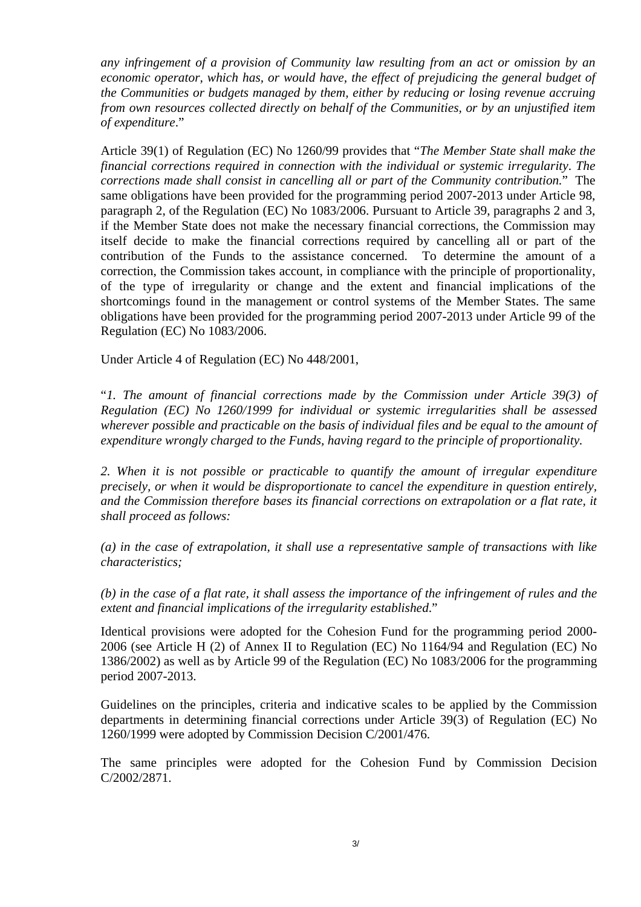*any infringement of a provision of Community law resulting from an act or omission by an economic operator, which has, or would have, the effect of prejudicing the general budget of the Communities or budgets managed by them, either by reducing or losing revenue accruing from own resources collected directly on behalf of the Communities, or by an unjustified item of expenditure*."

Article 39(1) of Regulation (EC) No 1260/99 provides that "*The Member State shall make the financial corrections required in connection with the individual or systemic irregularity*. *The corrections made shall consist in cancelling all or part of the Community contribution.*" The same obligations have been provided for the programming period 2007-2013 under Article 98, paragraph 2, of the Regulation (EC) No 1083/2006. Pursuant to Article 39, paragraphs 2 and 3, if the Member State does not make the necessary financial corrections, the Commission may itself decide to make the financial corrections required by cancelling all or part of the contribution of the Funds to the assistance concerned. To determine the amount of a correction, the Commission takes account, in compliance with the principle of proportionality, of the type of irregularity or change and the extent and financial implications of the shortcomings found in the management or control systems of the Member States. The same obligations have been provided for the programming period 2007-2013 under Article 99 of the Regulation (EC) No 1083/2006.

Under Article 4 of Regulation (EC) No 448/2001,

"*1. The amount of financial corrections made by the Commission under Article 39(3) of Regulation (EC) No 1260/1999 for individual or systemic irregularities shall be assessed wherever possible and practicable on the basis of individual files and be equal to the amount of expenditure wrongly charged to the Funds, having regard to the principle of proportionality.* 

*2. When it is not possible or practicable to quantify the amount of irregular expenditure precisely, or when it would be disproportionate to cancel the expenditure in question entirely, and the Commission therefore bases its financial corrections on extrapolation or a flat rate, it shall proceed as follows:* 

*(a) in the case of extrapolation, it shall use a representative sample of transactions with like characteristics;* 

*(b) in the case of a flat rate, it shall assess the importance of the infringement of rules and the extent and financial implications of the irregularity established*."

Identical provisions were adopted for the Cohesion Fund for the programming period 2000- 2006 (see Article H (2) of Annex II to Regulation (EC) No 1164/94 and Regulation (EC) No 1386/2002) as well as by Article 99 of the Regulation (EC) No 1083/2006 for the programming period 2007-2013.

Guidelines on the principles, criteria and indicative scales to be applied by the Commission departments in determining financial corrections under Article 39(3) of Regulation (EC) No 1260/1999 were adopted by Commission Decision C/2001/476.

The same principles were adopted for the Cohesion Fund by Commission Decision C/2002/2871.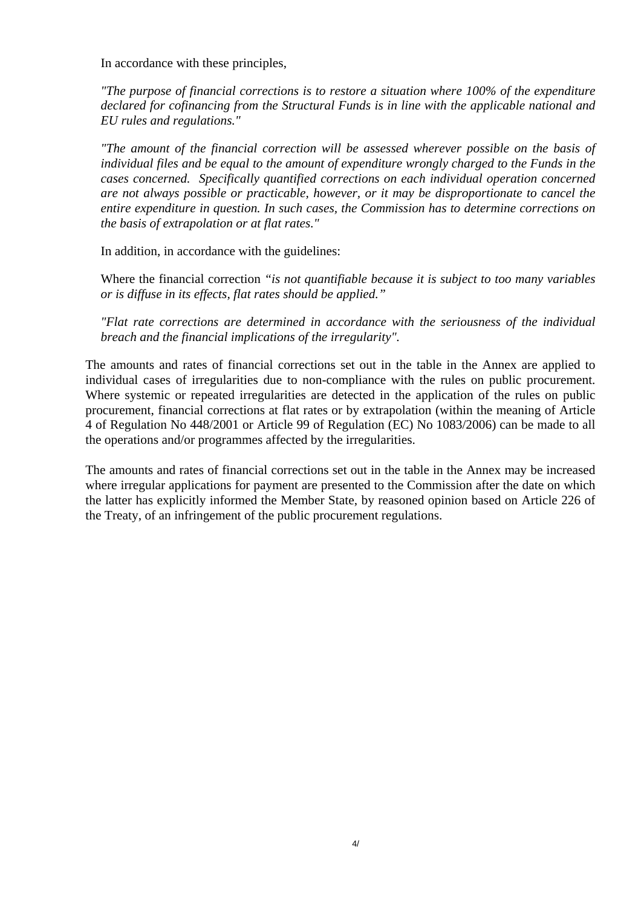In accordance with these principles,

*"The purpose of financial corrections is to restore a situation where 100% of the expenditure declared for cofinancing from the Structural Funds is in line with the applicable national and EU rules and regulations."* 

*"The amount of the financial correction will be assessed wherever possible on the basis of individual files and be equal to the amount of expenditure wrongly charged to the Funds in the cases concerned. Specifically quantified corrections on each individual operation concerned are not always possible or practicable, however, or it may be disproportionate to cancel the entire expenditure in question. In such cases, the Commission has to determine corrections on the basis of extrapolation or at flat rates."* 

In addition, in accordance with the guidelines:

Where the financial correction *"is not quantifiable because it is subject to too many variables or is diffuse in its effects, flat rates should be applied."* 

*"Flat rate corrections are determined in accordance with the seriousness of the individual breach and the financial implications of the irregularity".* 

The amounts and rates of financial corrections set out in the table in the Annex are applied to individual cases of irregularities due to non-compliance with the rules on public procurement. Where systemic or repeated irregularities are detected in the application of the rules on public procurement, financial corrections at flat rates or by extrapolation (within the meaning of Article 4 of Regulation No 448/2001 or Article 99 of Regulation (EC) No 1083/2006) can be made to all the operations and/or programmes affected by the irregularities.

The amounts and rates of financial corrections set out in the table in the Annex may be increased where irregular applications for payment are presented to the Commission after the date on which the latter has explicitly informed the Member State, by reasoned opinion based on Article 226 of the Treaty, of an infringement of the public procurement regulations.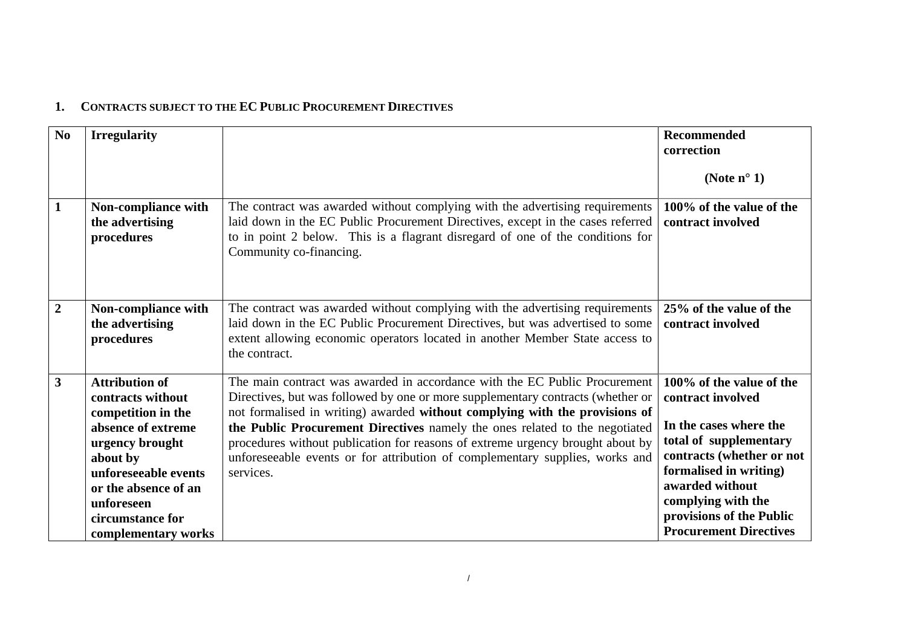## **1. CONTRACTS SUBJECT TO THE EC PUBLIC PROCUREMENT DIRECTIVES**

| No             | <b>Irregularity</b>                                                                                                                                                                                                            |                                                                                                                                                                                                                                                                                                                                                                                                                                                                                                            | Recommended<br>correction<br>(Note $n^{\circ}$ 1)                                                                                                                                                                                                              |
|----------------|--------------------------------------------------------------------------------------------------------------------------------------------------------------------------------------------------------------------------------|------------------------------------------------------------------------------------------------------------------------------------------------------------------------------------------------------------------------------------------------------------------------------------------------------------------------------------------------------------------------------------------------------------------------------------------------------------------------------------------------------------|----------------------------------------------------------------------------------------------------------------------------------------------------------------------------------------------------------------------------------------------------------------|
| $\mathbf{1}$   | Non-compliance with<br>the advertising<br>procedures                                                                                                                                                                           | The contract was awarded without complying with the advertising requirements<br>laid down in the EC Public Procurement Directives, except in the cases referred<br>to in point 2 below. This is a flagrant disregard of one of the conditions for<br>Community co-financing.                                                                                                                                                                                                                               | 100% of the value of the<br>contract involved                                                                                                                                                                                                                  |
| $\overline{2}$ | Non-compliance with<br>the advertising<br>procedures                                                                                                                                                                           | The contract was awarded without complying with the advertising requirements<br>laid down in the EC Public Procurement Directives, but was advertised to some<br>extent allowing economic operators located in another Member State access to<br>the contract.                                                                                                                                                                                                                                             | 25% of the value of the<br>contract involved                                                                                                                                                                                                                   |
| $\overline{3}$ | <b>Attribution of</b><br>contracts without<br>competition in the<br>absence of extreme<br>urgency brought<br>about by<br>unforeseeable events<br>or the absence of an<br>unforeseen<br>circumstance for<br>complementary works | The main contract was awarded in accordance with the EC Public Procurement<br>Directives, but was followed by one or more supplementary contracts (whether or<br>not formalised in writing) awarded without complying with the provisions of<br>the Public Procurement Directives namely the ones related to the negotiated<br>procedures without publication for reasons of extreme urgency brought about by<br>unforeseeable events or for attribution of complementary supplies, works and<br>services. | 100% of the value of the<br>contract involved<br>In the cases where the<br>total of supplementary<br>contracts (whether or not<br>formalised in writing)<br>awarded without<br>complying with the<br>provisions of the Public<br><b>Procurement Directives</b> |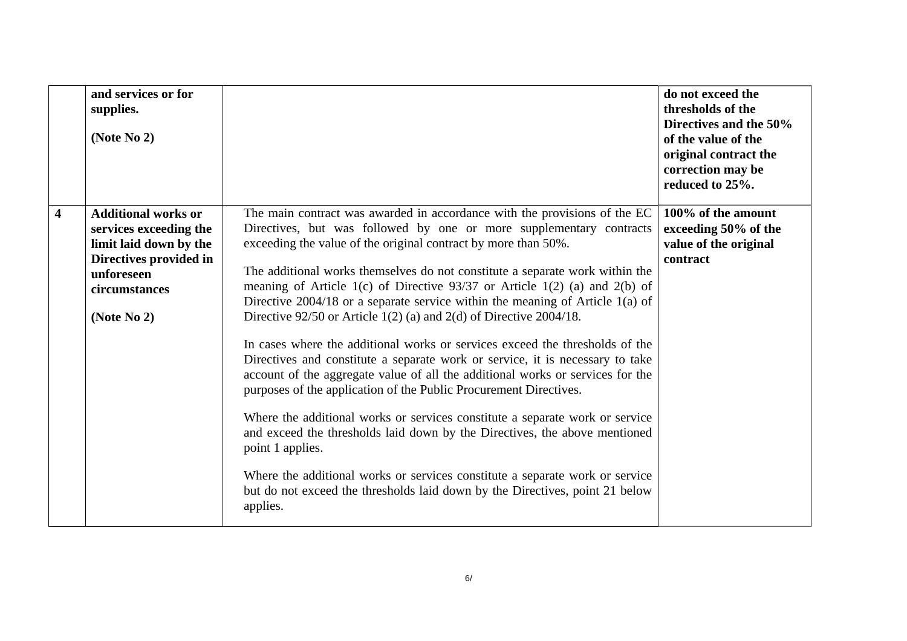|                         | and services or for<br>supplies.<br>(Note $No 2$ )                                                                                                        |                                                                                                                                                                                                                                                                                                                                                                                                                                                                                                                                                                                                                                                                                                                                                                                                  | do not exceed the<br>thresholds of the<br>Directives and the 50%<br>of the value of the<br>original contract the<br>correction may be<br>reduced to 25%. |
|-------------------------|-----------------------------------------------------------------------------------------------------------------------------------------------------------|--------------------------------------------------------------------------------------------------------------------------------------------------------------------------------------------------------------------------------------------------------------------------------------------------------------------------------------------------------------------------------------------------------------------------------------------------------------------------------------------------------------------------------------------------------------------------------------------------------------------------------------------------------------------------------------------------------------------------------------------------------------------------------------------------|----------------------------------------------------------------------------------------------------------------------------------------------------------|
| $\overline{\mathbf{4}}$ | <b>Additional works or</b><br>services exceeding the<br>limit laid down by the<br>Directives provided in<br>unforeseen<br>circumstances<br>(Note $No 2$ ) | The main contract was awarded in accordance with the provisions of the EC<br>Directives, but was followed by one or more supplementary contracts<br>exceeding the value of the original contract by more than 50%.<br>The additional works themselves do not constitute a separate work within the<br>meaning of Article 1(c) of Directive $93/37$ or Article 1(2) (a) and 2(b) of<br>Directive $2004/18$ or a separate service within the meaning of Article 1(a) of<br>Directive $92/50$ or Article 1(2) (a) and 2(d) of Directive 2004/18.<br>In cases where the additional works or services exceed the thresholds of the<br>Directives and constitute a separate work or service, it is necessary to take<br>account of the aggregate value of all the additional works or services for the | 100% of the amount<br>exceeding 50% of the<br>value of the original<br>contract                                                                          |
|                         |                                                                                                                                                           | purposes of the application of the Public Procurement Directives.<br>Where the additional works or services constitute a separate work or service<br>and exceed the thresholds laid down by the Directives, the above mentioned<br>point 1 applies.<br>Where the additional works or services constitute a separate work or service<br>but do not exceed the thresholds laid down by the Directives, point 21 below<br>applies.                                                                                                                                                                                                                                                                                                                                                                  |                                                                                                                                                          |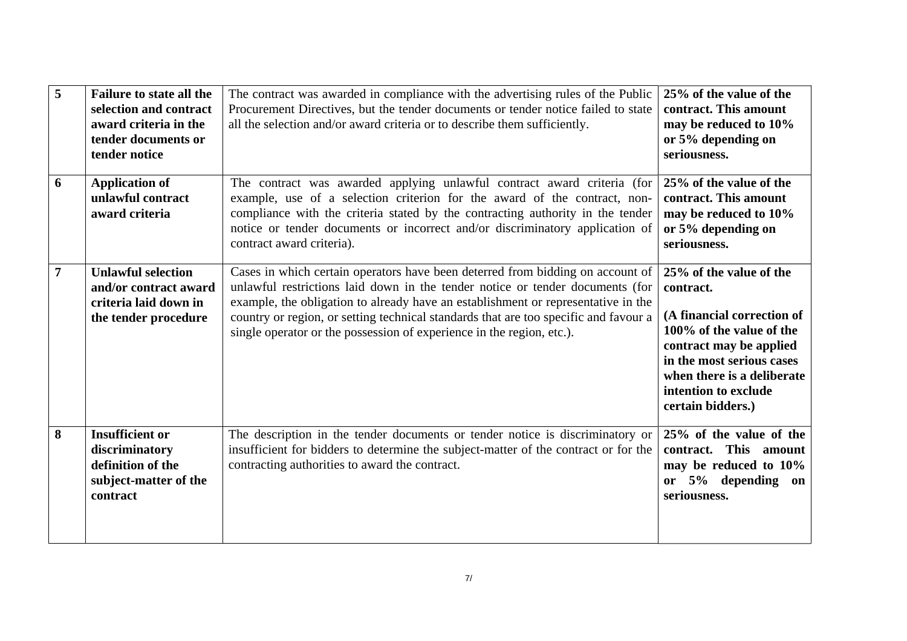| 5 | <b>Failure to state all the</b><br>selection and contract<br>award criteria in the<br>tender documents or<br>tender notice | The contract was awarded in compliance with the advertising rules of the Public<br>Procurement Directives, but the tender documents or tender notice failed to state<br>all the selection and/or award criteria or to describe them sufficiently.                                                                                                                                                                     | 25% of the value of the<br>contract. This amount<br>may be reduced to 10%<br>or 5% depending on<br>seriousness.                                                                                                                   |
|---|----------------------------------------------------------------------------------------------------------------------------|-----------------------------------------------------------------------------------------------------------------------------------------------------------------------------------------------------------------------------------------------------------------------------------------------------------------------------------------------------------------------------------------------------------------------|-----------------------------------------------------------------------------------------------------------------------------------------------------------------------------------------------------------------------------------|
| 6 | <b>Application of</b><br>unlawful contract<br>award criteria                                                               | The contract was awarded applying unlawful contract award criteria (for<br>example, use of a selection criterion for the award of the contract, non-<br>compliance with the criteria stated by the contracting authority in the tender<br>notice or tender documents or incorrect and/or discriminatory application of<br>contract award criteria).                                                                   | 25% of the value of the<br>contract. This amount<br>may be reduced to 10%<br>or 5% depending on<br>seriousness.                                                                                                                   |
| 7 | <b>Unlawful selection</b><br>and/or contract award<br>criteria laid down in<br>the tender procedure                        | Cases in which certain operators have been deterred from bidding on account of<br>unlawful restrictions laid down in the tender notice or tender documents (for<br>example, the obligation to already have an establishment or representative in the<br>country or region, or setting technical standards that are too specific and favour a<br>single operator or the possession of experience in the region, etc.). | 25% of the value of the<br>contract.<br>(A financial correction of<br>100% of the value of the<br>contract may be applied<br>in the most serious cases<br>when there is a deliberate<br>intention to exclude<br>certain bidders.) |
| 8 | <b>Insufficient or</b><br>discriminatory<br>definition of the<br>subject-matter of the<br>contract                         | The description in the tender documents or tender notice is discriminatory or<br>insufficient for bidders to determine the subject-matter of the contract or for the<br>contracting authorities to award the contract.                                                                                                                                                                                                | 25% of the value of the<br>contract. This amount<br>may be reduced to 10%<br>or 5% depending on<br>seriousness.                                                                                                                   |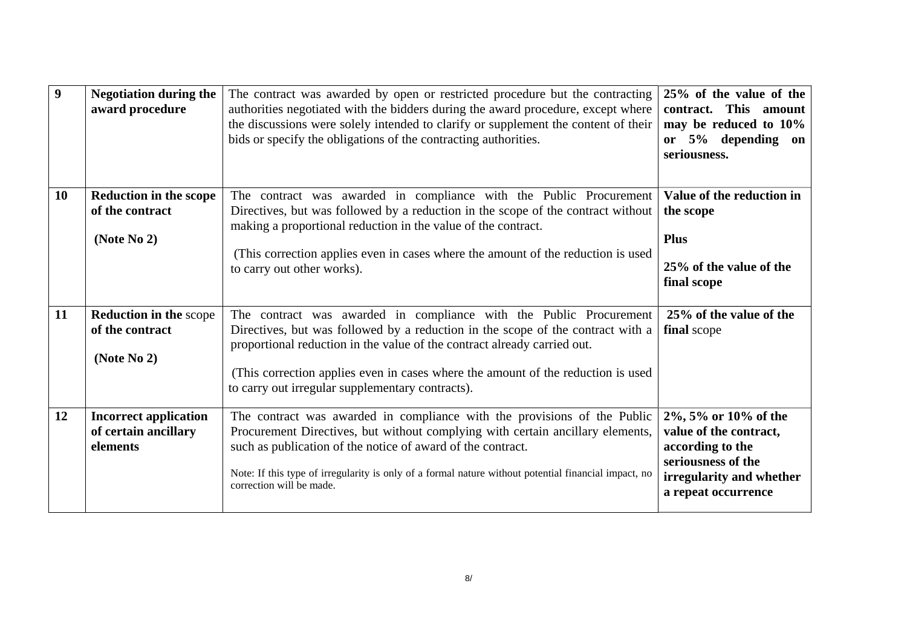| 9         | <b>Negotiation during the</b><br>award procedure                   | The contract was awarded by open or restricted procedure but the contracting<br>authorities negotiated with the bidders during the award procedure, except where<br>the discussions were solely intended to clarify or supplement the content of their<br>bids or specify the obligations of the contracting authorities.                                                 | 25% of the value of the<br>This amount<br>contract.<br>may be reduced to 10%<br>or 5% depending on<br>seriousness.                          |
|-----------|--------------------------------------------------------------------|---------------------------------------------------------------------------------------------------------------------------------------------------------------------------------------------------------------------------------------------------------------------------------------------------------------------------------------------------------------------------|---------------------------------------------------------------------------------------------------------------------------------------------|
| <b>10</b> | <b>Reduction in the scope</b><br>of the contract<br>(Note $No 2$ ) | The contract was awarded in compliance with the Public Procurement<br>Directives, but was followed by a reduction in the scope of the contract without<br>making a proportional reduction in the value of the contract.<br>(This correction applies even in cases where the amount of the reduction is used<br>to carry out other works).                                 | Value of the reduction in<br>the scope<br><b>Plus</b><br>25% of the value of the<br>final scope                                             |
| 11        | <b>Reduction in the scope</b><br>of the contract<br>(Note No 2)    | The contract was awarded in compliance with the Public Procurement<br>Directives, but was followed by a reduction in the scope of the contract with a<br>proportional reduction in the value of the contract already carried out.<br>(This correction applies even in cases where the amount of the reduction is used<br>to carry out irregular supplementary contracts). | 25% of the value of the<br>final scope                                                                                                      |
| 12        | <b>Incorrect application</b><br>of certain ancillary<br>elements   | The contract was awarded in compliance with the provisions of the Public<br>Procurement Directives, but without complying with certain ancillary elements,<br>such as publication of the notice of award of the contract.<br>Note: If this type of irregularity is only of a formal nature without potential financial impact, no<br>correction will be made.             | 2%, 5% or 10% of the<br>value of the contract,<br>according to the<br>seriousness of the<br>irregularity and whether<br>a repeat occurrence |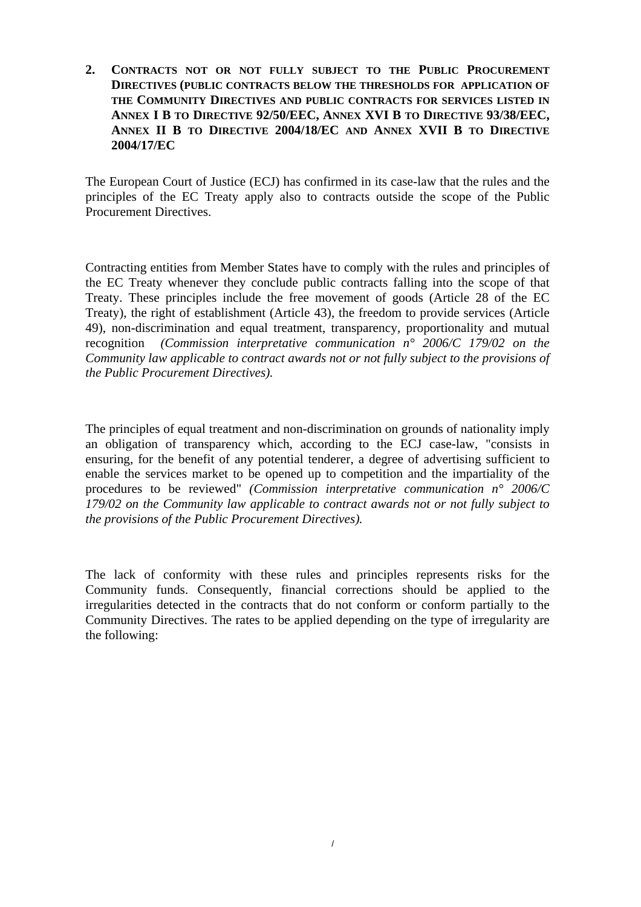**2. CONTRACTS NOT OR NOT FULLY SUBJECT TO THE PUBLIC PROCUREMENT DIRECTIVES (PUBLIC CONTRACTS BELOW THE THRESHOLDS FOR APPLICATION OF THE COMMUNITY DIRECTIVES AND PUBLIC CONTRACTS FOR SERVICES LISTED IN ANNEX I B TO DIRECTIVE 92/50/EEC, ANNEX XVI B TO DIRECTIVE 93/38/EEC, ANNEX II B TO DIRECTIVE 2004/18/EC AND ANNEX XVII B TO DIRECTIVE 2004/17/EC** 

The European Court of Justice (ECJ) has confirmed in its case-law that the rules and the principles of the EC Treaty apply also to contracts outside the scope of the Public Procurement Directives.

Contracting entities from Member States have to comply with the rules and principles of the EC Treaty whenever they conclude public contracts falling into the scope of that Treaty. These principles include the free movement of goods (Article 28 of the EC Treaty), the right of establishment (Article 43), the freedom to provide services (Article 49), non-discrimination and equal treatment, transparency, proportionality and mutual recognition *(Commission interpretative communication n° 2006/C 179/02 on the Community law applicable to contract awards not or not fully subject to the provisions of the Public Procurement Directives).* 

The principles of equal treatment and non-discrimination on grounds of nationality imply an obligation of transparency which, according to the ECJ case-law, "consists in ensuring, for the benefit of any potential tenderer, a degree of advertising sufficient to enable the services market to be opened up to competition and the impartiality of the procedures to be reviewed" *(Commission interpretative communication n° 2006/C 179/02 on the Community law applicable to contract awards not or not fully subject to the provisions of the Public Procurement Directives).*

The lack of conformity with these rules and principles represents risks for the Community funds. Consequently, financial corrections should be applied to the irregularities detected in the contracts that do not conform or conform partially to the Community Directives. The rates to be applied depending on the type of irregularity are the following: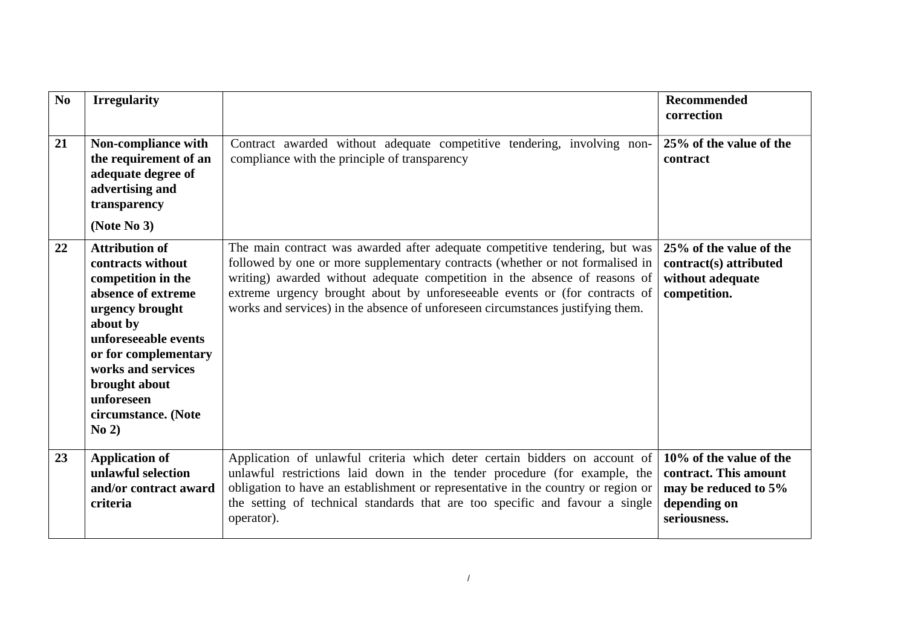| N <sub>0</sub> | <b>Irregularity</b>                                                                                                                                                                                                                                        |                                                                                                                                                                                                                                                                                                                                                                                                             | Recommended<br>correction                                                                                |
|----------------|------------------------------------------------------------------------------------------------------------------------------------------------------------------------------------------------------------------------------------------------------------|-------------------------------------------------------------------------------------------------------------------------------------------------------------------------------------------------------------------------------------------------------------------------------------------------------------------------------------------------------------------------------------------------------------|----------------------------------------------------------------------------------------------------------|
| 21             | Non-compliance with<br>the requirement of an<br>adequate degree of<br>advertising and<br>transparency<br>(Note $No 3$ )                                                                                                                                    | Contract awarded without adequate competitive tendering, involving non-<br>compliance with the principle of transparency                                                                                                                                                                                                                                                                                    | 25% of the value of the<br>contract                                                                      |
| 22             | <b>Attribution of</b><br>contracts without<br>competition in the<br>absence of extreme<br>urgency brought<br>about by<br>unforeseeable events<br>or for complementary<br>works and services<br>brought about<br>unforeseen<br>circumstance. (Note<br>No 2) | The main contract was awarded after adequate competitive tendering, but was<br>followed by one or more supplementary contracts (whether or not formalised in<br>writing) awarded without adequate competition in the absence of reasons of<br>extreme urgency brought about by unforeseeable events or (for contracts of<br>works and services) in the absence of unforeseen circumstances justifying them. | 25% of the value of the<br>contract(s) attributed<br>without adequate<br>competition.                    |
| 23             | <b>Application of</b><br>unlawful selection<br>and/or contract award<br>criteria                                                                                                                                                                           | Application of unlawful criteria which deter certain bidders on account of<br>unlawful restrictions laid down in the tender procedure (for example, the<br>obligation to have an establishment or representative in the country or region or<br>the setting of technical standards that are too specific and favour a single<br>operator).                                                                  | 10% of the value of the<br>contract. This amount<br>may be reduced to 5%<br>depending on<br>seriousness. |